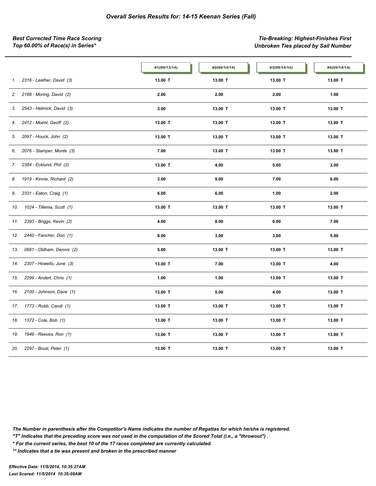*Best Corrected Time Race Scoring Tie-Breaking: Highest-Finishes First Top 60.00% of Race(s) in Series\* Unbroken Ties placed by Sail Number*

|     |                            | #1(09/13/14) | #2(09/14/14) | #3(09/14/14) | #4(09/14/14) |
|-----|----------------------------|--------------|--------------|--------------|--------------|
| 1.  | 2316 - Leather, David (3)  | 13.00 T      | 13.00 T      | 13.00 T      | 13.00 T      |
| 2.  | 2188 - Moring, David (2)   | 2.00         | 2.00         | 2.00         | 1.00         |
| 3.  | 2543 - Helmick, David (3)  | 3.00         | 13.00 T      | 13.00 T      | 13.00 T      |
| 4.  | 2412 - Moehl, Geoff (2)    | 13.00 T      | 13.00 T      | 13.00 T      | 13.00 T      |
| 5.  | 2097 - Houck, John (2)     | 13.00 T      | 13.00 T      | 13.00 T      | 13.00 T      |
| 6.  | 2076 - Stamper, Monte (3)  | 7.00         | 13.00 T      | 13.00 T      | 13.00 T      |
| 7.  | 2384 - Ecklund, Phil (2)   | 13.00 T      | 4.00         | 5.00         | 3.00         |
| 8.  | 1919 - Kinnie, Richard (2) | 3.00         | 9.00         | 7.00         | 6.00         |
| 9.  | 2331 - Eaton, Craig (1)    | 6.00         | 6.00         | 1.00         | 2.00         |
| 10. | 1024 - Tillema, Scott (1)  | 13.00 T      | 13.00 T      | 13.00 T      | 13.00 T      |
| 11. | 2393 - Briggs, Kevin (2)   | 4.00         | 8.00         | 6.00         | 7.00         |
| 12. | 2440 - Fancher, Don (1)    | 8.00         | 3.00         | 3.00         | 5.00         |
| 13. | 0881 - Oldham, Dennis (2)  | 5.00         | 13.00 T      | 13.00 T      | 13.00 T      |
| 14. | 2307 - Howells, June (3)   | 13.00 T      | 7.00         | 13.00 T      | 4.00         |
| 15. | 2299 - Andert, Chris (1)   | 1.00         | 1.00         | 13.00 T      | 13.00 T      |
| 16. | 2100 - Johnson, Dave (1)   | 13.00 T      | 5.00         | 4.00         | 13.00 T      |
| 17. | 1773 - Robb, Candi (1)     | 13.00 T      | 13.00 T      | 13.00 T      | 13.00 T      |
| 18. | 1372 - Cole, Bob (1)       | 13.00 T      | 13.00 T      | 13.00 T      | 13.00 T      |
| 19. | 1949 - Reeves, Ron (1)     | 13.00 T      | 13.00 T      | 13.00 T      | 13.00 T      |
| 20. | 2297 - Brust, Peter (1)    | 13.00 T      | 13.00 T      | 13.00 T      | 13.00 T      |

*The Number in parenthesis after the Competitor's Name indicates the number of Regattas for which he/she is registered.*

*"T" Indicates that the preceding score was not used in the computation of the Scored Total (i.e., a "throwout") .*

*\* For the current series, the best 10 of the 17 races completed are currently calculated.*

*\*\* Indicates that a tie was present and broken in the prescribed manner*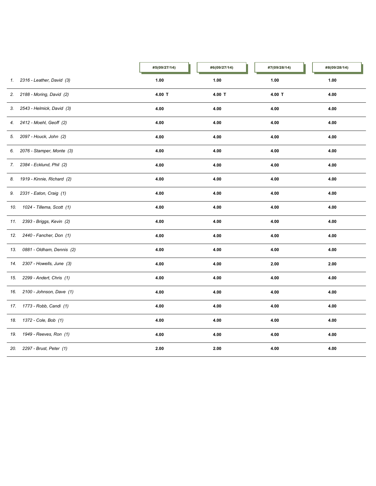|     |                               | #5(09/27/14) | #6(09/27/14) | #7(09/28/14) | #8(09/28/14) |
|-----|-------------------------------|--------------|--------------|--------------|--------------|
| 1.  | 2316 - Leather, David (3)     | 1.00         | 1.00         | 1.00         | 1.00         |
| 2.  | 2188 - Moring, David (2)      | 4.00 T       | 4.00 T       | $4.00$ T     | 4.00         |
|     | 3. 2543 - Helmick, David (3)  | 4.00         | 4.00         | 4.00         | 4.00         |
| 4.  | 2412 - Moehl, Geoff (2)       | 4.00         | 4.00         | 4.00         | 4.00         |
| 5.  | 2097 - Houck, John (2)        | 4.00         | 4.00         | 4.00         | 4.00         |
| 6.  | 2076 - Stamper, Monte (3)     | 4.00         | 4.00         | 4.00         | 4.00         |
| 7.  | 2384 - Ecklund, Phil (2)      | 4.00         | 4.00         | 4.00         | 4.00         |
|     | 8. 1919 - Kinnie, Richard (2) | 4.00         | 4.00         | 4.00         | 4.00         |
| 9.  | 2331 - Eaton, Craig (1)       | 4.00         | 4.00         | 4.00         | 4.00         |
| 10. | 1024 - Tillema, Scott (1)     | 4.00         | 4.00         | 4.00         | 4.00         |
| 11. | 2393 - Briggs, Kevin (2)      | 4.00         | 4.00         | 4.00         | 4.00         |
| 12. | 2440 - Fancher, Don (1)       | 4.00         | 4.00         | 4.00         | 4.00         |
|     | 13. 0881 - Oldham, Dennis (2) | 4.00         | 4.00         | 4.00         | 4.00         |
| 14. | 2307 - Howells, June (3)      | 4.00         | 4.00         | 2.00         | 2.00         |
| 15. | 2299 - Andert, Chris (1)      | 4.00         | 4.00         | 4.00         | 4.00         |
| 16. | 2100 - Johnson, Dave (1)      | 4.00         | 4.00         | 4.00         | 4.00         |
|     | 17. 1773 - Robb, Candi (1)    | 4.00         | 4.00         | 4.00         | 4.00         |
|     | 18. 1372 - Cole, Bob (1)      | 4.00         | 4.00         | 4.00         | 4.00         |
| 19. | 1949 - Reeves, Ron (1)        | 4.00         | 4.00         | 4.00         | 4.00         |
| 20. | 2297 - Brust, Peter (1)       | 2.00         | 2.00         | 4.00         | 4.00         |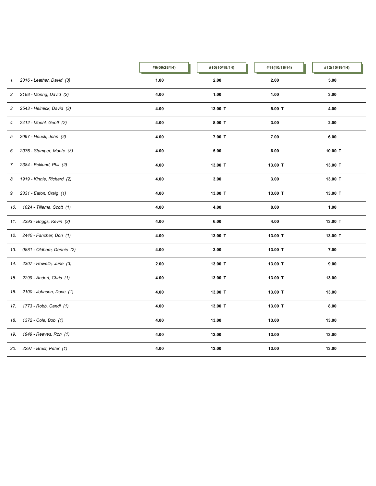|     |                               | #9(09/28/14) | #10(10/18/14) | #11(10/18/14) | #12(10/19/14) |
|-----|-------------------------------|--------------|---------------|---------------|---------------|
| 1.  | 2316 - Leather, David (3)     | 1.00         | 2.00          | 2.00          | 5.00          |
| 2.  | 2188 - Moring, David (2)      | 4.00         | 1.00          | 1.00          | 3.00          |
|     | 3. 2543 - Helmick, David (3)  | 4.00         | 13.00 T       | $5.00$ T      | 4.00          |
| 4.  | 2412 - Moehl, Geoff (2)       | 4.00         | $8.00$ T      | 3.00          | 2.00          |
| 5.  | 2097 - Houck, John (2)        | 4.00         | $7.00$ T      | 7.00          | 6.00          |
| 6.  | 2076 - Stamper, Monte (3)     | 4.00         | 5.00          | 6.00          | 10.00 T       |
| 7.  | 2384 - Ecklund, Phil (2)      | 4.00         | 13.00 T       | 13.00 T       | 13.00 T       |
|     | 8. 1919 - Kinnie, Richard (2) | 4.00         | 3.00          | 3.00          | 13.00 T       |
| 9.  | 2331 - Eaton, Craig (1)       | 4.00         | 13.00 T       | 13.00 T       | 13.00 T       |
| 10. | 1024 - Tillema, Scott (1)     | 4.00         | 4.00          | 8.00          | 1.00          |
| 11. | 2393 - Briggs, Kevin (2)      | 4.00         | 6.00          | 4.00          | 13.00 T       |
| 12. | 2440 - Fancher, Don (1)       | 4.00         | 13.00 T       | 13.00 T       | 13.00 T       |
| 13. | 0881 - Oldham, Dennis (2)     | 4.00         | 3.00          | 13.00 T       | 7.00          |
| 14. | 2307 - Howells, June (3)      | 2.00         | 13.00 T       | 13.00 T       | 9.00          |
| 15. | 2299 - Andert, Chris (1)      | 4.00         | 13.00 T       | 13.00 T       | 13.00         |
| 16. | 2100 - Johnson, Dave (1)      | 4.00         | 13.00 T       | 13.00 T       | 13.00         |
|     | 17. 1773 - Robb, Candi (1)    | 4.00         | 13.00 T       | 13.00 T       | 8.00          |
|     | 18. 1372 - Cole, Bob (1)      | 4.00         | 13.00         | 13.00         | 13.00         |
| 19. | 1949 - Reeves, Ron (1)        | 4.00         | 13.00         | 13.00         | 13.00         |
| 20. | 2297 - Brust, Peter (1)       | 4.00         | 13.00         | 13.00         | 13.00         |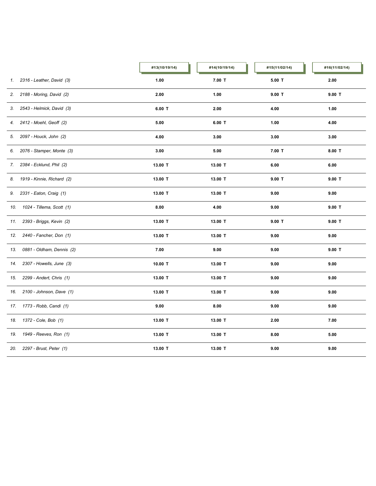|     |                               | #13(10/19/14) | #14(10/19/14) | #15(11/02/14) | #16(11/02/14) |
|-----|-------------------------------|---------------|---------------|---------------|---------------|
| 1.  | 2316 - Leather, David (3)     | 1.00          | $7.00$ T      | $5.00$ T      | 2.00          |
| 2.  | 2188 - Moring, David (2)      | 2.00          | 1.00          | $9.00$ T      | $9.00$ T      |
| 3.  | 2543 - Helmick, David (3)     | $6.00$ T      | 2.00          | 4.00          | 1.00          |
| 4.  | 2412 - Moehl, Geoff (2)       | 5.00          | $6.00$ T      | 1.00          | 4.00          |
| 5.  | 2097 - Houck, John (2)        | 4.00          | 3.00          | 3.00          | 3.00          |
| 6.  | 2076 - Stamper, Monte (3)     | 3.00          | 5.00          | $7.00$ T      | $8.00$ T      |
| 7.  | 2384 - Ecklund, Phil (2)      | 13.00 T       | 13.00 T       | 6.00          | 6.00          |
|     | 8. 1919 - Kinnie, Richard (2) | 13.00 T       | 13.00 T       | $9.00$ T      | $9.00$ T      |
| 9.  | 2331 - Eaton, Craig (1)       | 13.00 T       | 13.00 T       | 9.00          | 9.00          |
| 10. | 1024 - Tillema, Scott (1)     | 8.00          | 4.00          | 9.00          | $9.00$ T      |
| 11. | 2393 - Briggs, Kevin (2)      | 13.00 T       | 13.00 T       | $9.00$ T      | $9.00$ T      |
| 12. | 2440 - Fancher, Don (1)       | 13.00 T       | 13.00 T       | 9.00          | 9.00          |
| 13. | 0881 - Oldham, Dennis (2)     | 7.00          | 9.00          | 9.00          | $9.00$ T      |
| 14. | 2307 - Howells, June (3)      | 10.00 T       | 13.00 T       | 9.00          | 9.00          |
| 15. | 2299 - Andert, Chris (1)      | 13.00 T       | 13.00 T       | 9.00          | 9.00          |
| 16. | 2100 - Johnson, Dave (1)      | 13.00 T       | 13.00 T       | 9.00          | 9.00          |
| 17. | 1773 - Robb, Candi (1)        | 9.00          | 8.00          | 9.00          | 9.00          |
|     | 18. 1372 - Cole, Bob (1)      | 13.00 T       | 13.00 T       | 2.00          | 7.00          |
| 19. | 1949 - Reeves, Ron (1)        | 13.00 T       | 13.00 T       | 8.00          | 5.00          |
| 20. | 2297 - Brust, Peter (1)       | 13.00 T       | 13.00 T       | 9.00          | 9.00          |